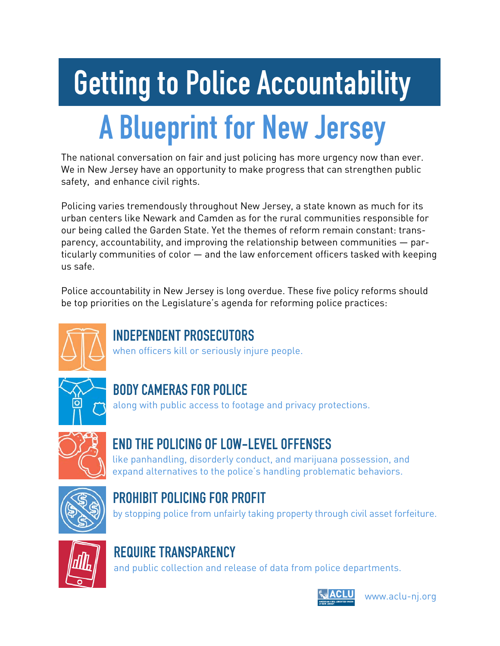# A Blueprint for New Jersey Getting to Police Accountability

The national conversation on fair and just policing has more urgency now than ever. We in New Jersey have an opportunity to make progress that can strengthen public safety, and enhance civil rights.

Policing varies tremendously throughout New Jersey, a state known as much for its urban centers like Newark and Camden as for the rural communities responsible for our being called the Garden State. Yet the themes of reform remain constant: transparency, accountability, and improving the relationship between communities — particularly communities of color — and the law enforcement officers tasked with keeping us safe.

Police accountability in New Jersey is long overdue. These five policy reforms should be top priorities on the Legislature's agenda for reforming police practices:



#### INDEPENDENT PROSECUTORS

when officers kill or seriously injure people.



# BODY CAMERAS FOR POLICE

along with public access to footage and privacy protections.



# END THE POLICING OF LOW-LEVEL OFFENSES

like panhandling, disorderly conduct, and marijuana possession, and expand alternatives to the police's handling problematic behaviors.



# PROHIBIT POLICING FOR PROFIT

by stopping police from unfairly taking property through civil asset forfeiture.



# REQUIRE TRANSPARENCY

and public collection and release of data from police departments.



www.aclu-nj.org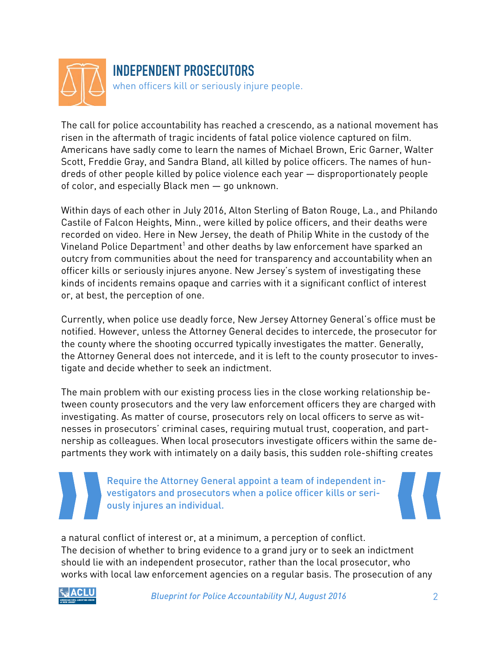

The call for police accountability has reached a crescendo, as a national movement has risen in the aftermath of tragic incidents of fatal police violence captured on film. Americans have sadly come to learn the names of Michael Brown, Eric Garner, Walter Scott, Freddie Gray, and Sandra Bland, all killed by police officers. The names of hundreds of other people killed by police violence each year — disproportionately people of color, and especially Black men — go unknown.

Within days of each other in July 2016, Alton Sterling of Baton Rouge, La., and Philando Castile of Falcon Heights, Minn., were killed by police officers, and their deaths were recorded on video. Here in New Jersey, the death of Philip White in the custody of the Vineland Police Department $^{\rm 1}$  and other deaths by law enforcement have sparked an outcry from communities about the need for transparency and accountability when an officer kills or seriously injures anyone. New Jersey's system of investigating these kinds of incidents remains opaque and carries with it a significant conflict of interest or, at best, the perception of one.

Currently, when police use deadly force, New Jersey Attorney General's office must be notified. However, unless the Attorney General decides to intercede, the prosecutor for the county where the shooting occurred typically investigates the matter. Generally, the Attorney General does not intercede, and it is left to the county prosecutor to investigate and decide whether to seek an indictment.

The main problem with our existing process lies in the close working relationship between county prosecutors and the very law enforcement officers they are charged with investigating. As matter of course, prosecutors rely on local officers to serve as witnesses in prosecutors' criminal cases, requiring mutual trust, cooperation, and partnership as colleagues. When local prosecutors investigate officers within the same departments they work with intimately on a daily basis, this sudden role-shifting creates

> Require the Attorney General appoint a team of independent investigators and prosecutors when a police officer kills or seriously injures an individual.

a natural conflict of interest or, at a minimum, a perception of conflict. The decision of whether to bring evidence to a grand jury or to seek an indictment should lie with an independent prosecutor, rather than the local prosecutor, who works with local law enforcement agencies on a regular basis. The prosecution of any



*Blueprint for Police Accountability NJ, August 2016* 2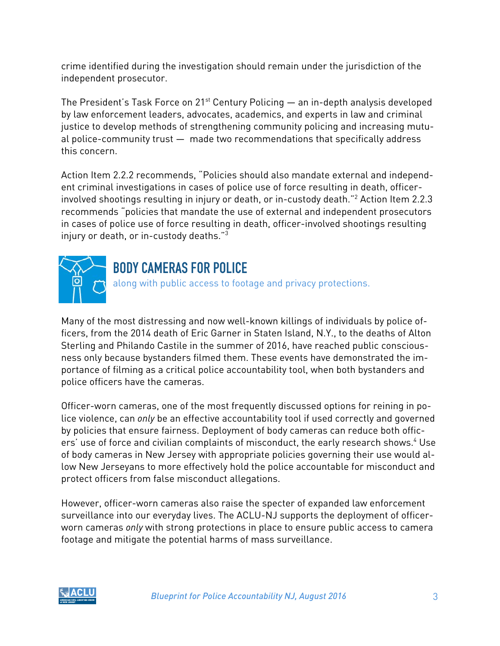crime identified during the investigation should remain under the jurisdiction of the independent prosecutor.

The President's Task Force on  $21^{st}$  Century Policing  $-$  an in-depth analysis developed by law enforcement leaders, advocates, academics, and experts in law and criminal justice to develop methods of strengthening community policing and increasing mutual police-community trust — made two recommendations that specifically address this concern.

Action Item 2.2.2 recommends, "Policies should also mandate external and independent criminal investigations in cases of police use of force resulting in death, officerinvolved shootings resulting in injury or death, or in-custody death."2 Action Item 2.2.3 recommends "policies that mandate the use of external and independent prosecutors in cases of police use of force resulting in death, officer-involved shootings resulting injury or death, or in-custody deaths."3



#### BODY CAMERAS FOR POLICE

along with public access to footage and privacy protections.

Many of the most distressing and now well-known killings of individuals by police officers, from the 2014 death of Eric Garner in Staten Island, N.Y., to the deaths of Alton Sterling and Philando Castile in the summer of 2016, have reached public consciousness only because bystanders filmed them. These events have demonstrated the importance of filming as a critical police accountability tool, when both bystanders and police officers have the cameras.

Officer-worn cameras, one of the most frequently discussed options for reining in police violence, can *only* be an effective accountability tool if used correctly and governed by policies that ensure fairness. Deployment of body cameras can reduce both officers' use of force and civilian complaints of misconduct, the early research shows.<sup>4</sup> Use of body cameras in New Jersey with appropriate policies governing their use would allow New Jerseyans to more effectively hold the police accountable for misconduct and protect officers from false misconduct allegations.

However, officer-worn cameras also raise the specter of expanded law enforcement surveillance into our everyday lives. The ACLU-NJ supports the deployment of officerworn cameras *only* with strong protections in place to ensure public access to camera footage and mitigate the potential harms of mass surveillance.

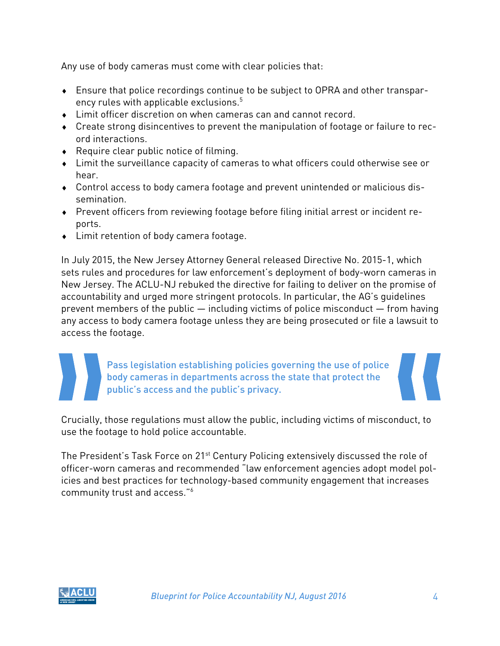Any use of body cameras must come with clear policies that:

- Ensure that police recordings continue to be subject to OPRA and other transparency rules with applicable exclusions.<sup>5</sup>
- Limit officer discretion on when cameras can and cannot record.
- Create strong disincentives to prevent the manipulation of footage or failure to record interactions.
- ◆ Require clear public notice of filming.
- Limit the surveillance capacity of cameras to what officers could otherwise see or hear.
- Control access to body camera footage and prevent unintended or malicious dissemination.
- Prevent officers from reviewing footage before filing initial arrest or incident reports.
- Limit retention of body camera footage.

In July 2015, the New Jersey Attorney General released Directive No. 2015-1, which sets rules and procedures for law enforcement's deployment of body-worn cameras in New Jersey. The ACLU-NJ rebuked the directive for failing to deliver on the promise of accountability and urged more stringent protocols. In particular, the AG's guidelines prevent members of the public — including victims of police misconduct — from having any access to body camera footage unless they are being prosecuted or file a lawsuit to access the footage.

> Pass legislation establishing policies governing the use of police body cameras in departments across the state that protect the public's access and the public's privacy.

Crucially, those regulations must allow the public, including victims of misconduct, to use the footage to hold police accountable.

The President's Task Force on 21<sup>st</sup> Century Policing extensively discussed the role of officer-worn cameras and recommended "law enforcement agencies adopt model policies and best practices for technology-based community engagement that increases community trust and access."6

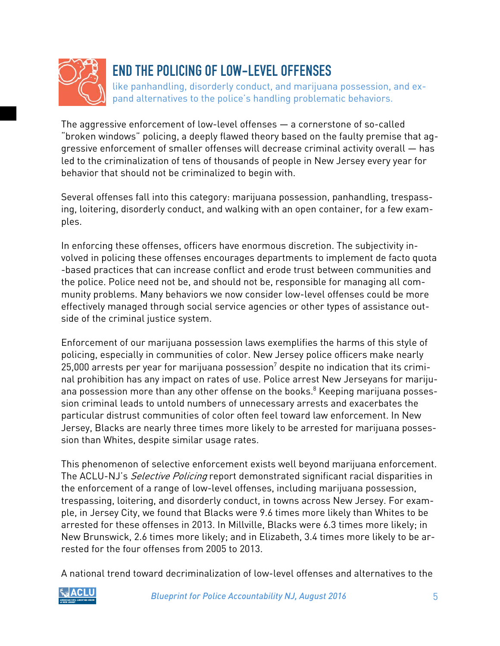

#### END THE POLICING OF LOW-LEVEL OFFENSES

like panhandling, disorderly conduct, and marijuana possession, and expand alternatives to the police's handling problematic behaviors.

The aggressive enforcement of low-level offenses — a cornerstone of so-called "broken windows" policing, a deeply flawed theory based on the faulty premise that aggressive enforcement of smaller offenses will decrease criminal activity overall — has led to the criminalization of tens of thousands of people in New Jersey every year for behavior that should not be criminalized to begin with.

Several offenses fall into this category: marijuana possession, panhandling, trespassing, loitering, disorderly conduct, and walking with an open container, for a few examples.

In enforcing these offenses, officers have enormous discretion. The subjectivity involved in policing these offenses encourages departments to implement de facto quota -based practices that can increase conflict and erode trust between communities and the police. Police need not be, and should not be, responsible for managing all community problems. Many behaviors we now consider low-level offenses could be more effectively managed through social service agencies or other types of assistance outside of the criminal justice system.

Enforcement of our marijuana possession laws exemplifies the harms of this style of policing, especially in communities of color. New Jersey police officers make nearly 25,000 arrests per year for marijuana possession<sup>7</sup> despite no indication that its criminal prohibition has any impact on rates of use. Police arrest New Jerseyans for marijuana possession more than any other offense on the books.<sup>8</sup> Keeping marijuana possession criminal leads to untold numbers of unnecessary arrests and exacerbates the particular distrust communities of color often feel toward law enforcement. In New Jersey, Blacks are nearly three times more likely to be arrested for marijuana possession than Whites, despite similar usage rates.

This phenomenon of selective enforcement exists well beyond marijuana enforcement. The ACLU-NJ's *Selective Policing* report demonstrated significant racial disparities in the enforcement of a range of low-level offenses, including marijuana possession, trespassing, loitering, and disorderly conduct, in towns across New Jersey. For example, in Jersey City, we found that Blacks were 9.6 times more likely than Whites to be arrested for these offenses in 2013. In Millville, Blacks were 6.3 times more likely; in New Brunswick, 2.6 times more likely; and in Elizabeth, 3.4 times more likely to be arrested for the four offenses from 2005 to 2013.

A national trend toward decriminalization of low-level offenses and alternatives to the

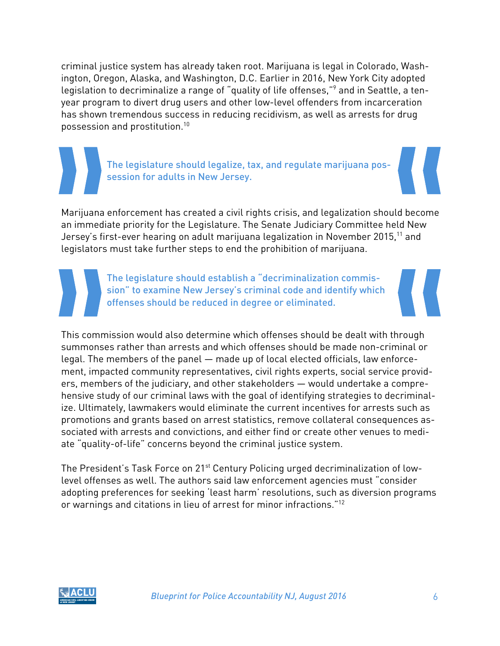criminal justice system has already taken root. Marijuana is legal in Colorado, Washington, Oregon, Alaska, and Washington, D.C. Earlier in 2016, New York City adopted legislation to decriminalize a range of "quality of life offenses,"<sup>9</sup> and in Seattle, a tenyear program to divert drug users and other low-level offenders from incarceration has shown tremendous success in reducing recidivism, as well as arrests for drug possession and prostitution.10

> The legislature should legalize, tax, and regulate marijuana possession for adults in New Jersey.

Marijuana enforcement has created a civil rights crisis, and legalization should become an immediate priority for the Legislature. The Senate Judiciary Committee held New Jersey's first-ever hearing on adult marijuana legalization in November 2015.<sup>11</sup> and legislators must take further steps to end the prohibition of marijuana.

> The legislature should establish a "decriminalization commission" to examine New Jersey's criminal code and identify which offenses should be reduced in degree or eliminated.

This commission would also determine which offenses should be dealt with through summonses rather than arrests and which offenses should be made non-criminal or legal. The members of the panel — made up of local elected officials, law enforcement, impacted community representatives, civil rights experts, social service providers, members of the judiciary, and other stakeholders — would undertake a comprehensive study of our criminal laws with the goal of identifying strategies to decriminalize. Ultimately, lawmakers would eliminate the current incentives for arrests such as promotions and grants based on arrest statistics, remove collateral consequences associated with arrests and convictions, and either find or create other venues to mediate "quality-of-life" concerns beyond the criminal justice system.

The President's Task Force on 21<sup>st</sup> Century Policing urged decriminalization of lowlevel offenses as well. The authors said law enforcement agencies must "consider adopting preferences for seeking 'least harm' resolutions, such as diversion programs or warnings and citations in lieu of arrest for minor infractions."<sup>12</sup>

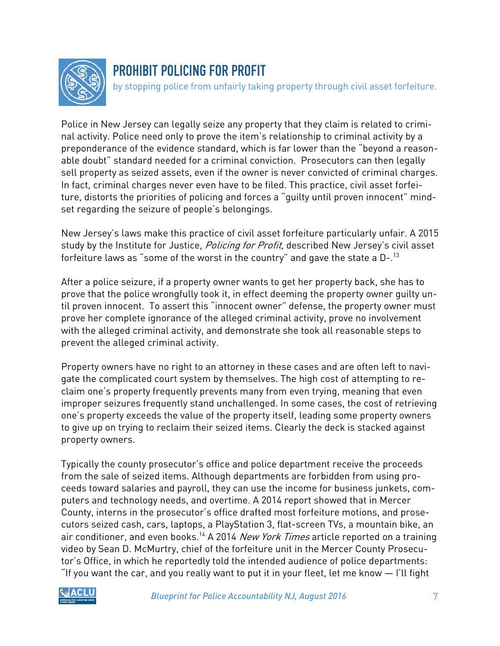

#### PROHIBIT POLICING FOR PROFIT

by stopping police from unfairly taking property through civil asset forfeiture.

Police in New Jersey can legally seize any property that they claim is related to criminal activity. Police need only to prove the item's relationship to criminal activity by a preponderance of the evidence standard, which is far lower than the "beyond a reasonable doubt" standard needed for a criminal conviction. Prosecutors can then legally sell property as seized assets, even if the owner is never convicted of criminal charges. In fact, criminal charges never even have to be filed. This practice, civil asset forfeiture, distorts the priorities of policing and forces a "guilty until proven innocent" mindset regarding the seizure of people's belongings.

New Jersey's laws make this practice of civil asset forfeiture particularly unfair. A 2015 study by the Institute for Justice, *Policing for Profit*, described New Jersey's civil asset forfeiture laws as "some of the worst in the country" and gave the state a  $D-1^{3}$ 

After a police seizure, if a property owner wants to get her property back, she has to prove that the police wrongfully took it, in effect deeming the property owner guilty until proven innocent. To assert this "innocent owner" defense, the property owner must prove her complete ignorance of the alleged criminal activity, prove no involvement with the alleged criminal activity, and demonstrate she took all reasonable steps to prevent the alleged criminal activity.

Property owners have no right to an attorney in these cases and are often left to navigate the complicated court system by themselves. The high cost of attempting to reclaim one's property frequently prevents many from even trying, meaning that even improper seizures frequently stand unchallenged. In some cases, the cost of retrieving one's property exceeds the value of the property itself, leading some property owners to give up on trying to reclaim their seized items. Clearly the deck is stacked against property owners.

Typically the county prosecutor's office and police department receive the proceeds from the sale of seized items. Although departments are forbidden from using proceeds toward salaries and payroll, they can use the income for business junkets, computers and technology needs, and overtime. A 2014 report showed that in Mercer County, interns in the prosecutor's office drafted most forfeiture motions, and prosecutors seized cash, cars, laptops, a PlayStation 3, flat-screen TVs, a mountain bike, an air conditioner, and even books.<sup>14</sup> A 2014 New York Times article reported on a training video by Sean D. McMurtry, chief of the forfeiture unit in the Mercer County Prosecutor's Office, in which he reportedly told the intended audience of police departments: "If you want the car, and you really want to put it in your fleet, let me know — I'll fight

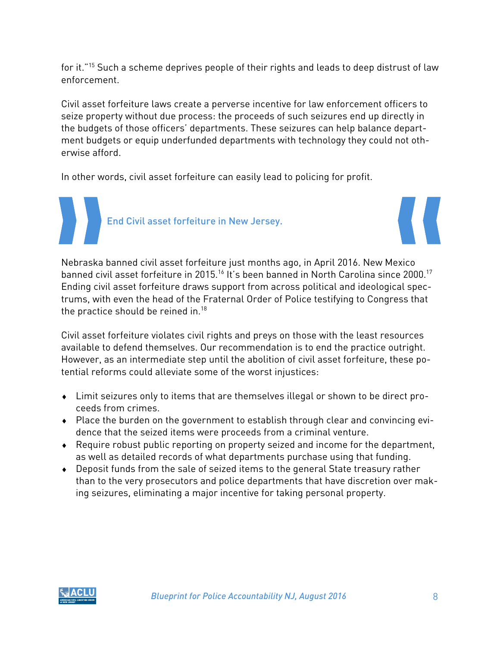for it."15 Such a scheme deprives people of their rights and leads to deep distrust of law enforcement.

Civil asset forfeiture laws create a perverse incentive for law enforcement officers to seize property without due process: the proceeds of such seizures end up directly in the budgets of those officers' departments. These seizures can help balance department budgets or equip underfunded departments with technology they could not otherwise afford.

In other words, civil asset forfeiture can easily lead to policing for profit.

End Civil asset forfeiture in New Jersey.



Nebraska banned civil asset forfeiture just months ago, in April 2016. New Mexico banned civil asset forfeiture in 2015.<sup>16</sup> It's been banned in North Carolina since 2000.<sup>17</sup> Ending civil asset forfeiture draws support from across political and ideological spectrums, with even the head of the Fraternal Order of Police testifying to Congress that the practice should be reined in.<sup>18</sup>

Civil asset forfeiture violates civil rights and preys on those with the least resources available to defend themselves. Our recommendation is to end the practice outright. However, as an intermediate step until the abolition of civil asset forfeiture, these potential reforms could alleviate some of the worst injustices:

- Limit seizures only to items that are themselves illegal or shown to be direct proceeds from crimes.
- Place the burden on the government to establish through clear and convincing evidence that the seized items were proceeds from a criminal venture.
- Require robust public reporting on property seized and income for the department, as well as detailed records of what departments purchase using that funding.
- Deposit funds from the sale of seized items to the general State treasury rather than to the very prosecutors and police departments that have discretion over making seizures, eliminating a major incentive for taking personal property.

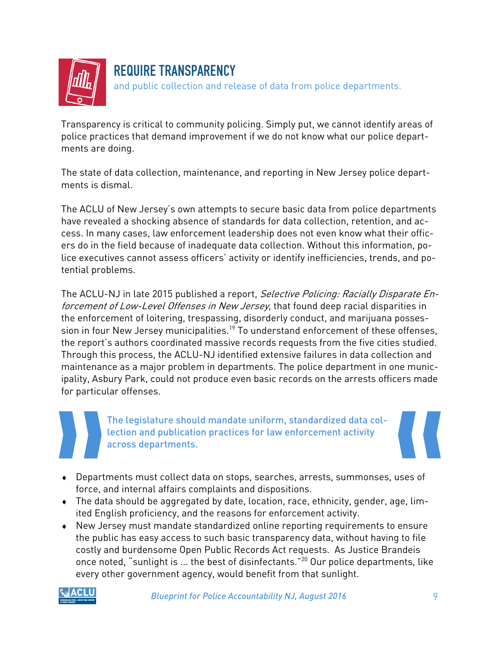

#### REQUIRE TRANSPARENCY

and public collection and release of data from police departments.

Transparency is critical to community policing. Simply put, we cannot identify areas of police practices that demand improvement if we do not know what our police departments are doing.

The state of data collection, maintenance, and reporting in New Jersey police departments is dismal.

The ACLU of New Jersey's own attempts to secure basic data from police departments have revealed a shocking absence of standards for data collection, retention, and access. In many cases, law enforcement leadership does not even know what their officers do in the field because of inadequate data collection. Without this information, police executives cannot assess officers' activity or identify inefficiencies, trends, and potential problems.

The ACLU-NJ in late 2015 published a report, Selective Policing: Racially Disparate Enforcement of Low-Level Offenses in New Jersey, that found deep racial disparities in the enforcement of loitering, trespassing, disorderly conduct, and marijuana possession in four New Jersey municipalities.<sup>19</sup> To understand enforcement of these offenses, the report's authors coordinated massive records requests from the five cities studied. Through this process, the ACLU-NJ identified extensive failures in data collection and maintenance as a major problem in departments. The police department in one municipality, Asbury Park, could not produce even basic records on the arrests officers made for particular offenses.

The legislature should mandate uniform, standardized data collection and publication practices for law enforcement activity across departments.

- Departments must collect data on stops, searches, arrests, summonses, uses of force, and internal affairs complaints and dispositions.
- The data should be aggregated by date, location, race, ethnicity, gender, age, limited English proficiency, and the reasons for enforcement activity.
- New Jersey must mandate standardized online reporting requirements to ensure the public has easy access to such basic transparency data, without having to file costly and burdensome Open Public Records Act requests. As Justice Brandeis once noted, "sunlight is ... the best of disinfectants."<sup>20</sup> Our police departments, like every other government agency, would benefit from that sunlight.



*Blueprint for Police Accountability NJ, August 2016* 9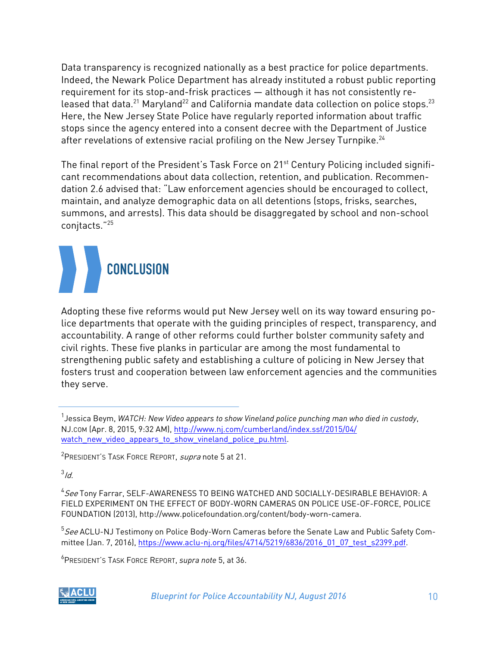Data transparency is recognized nationally as a best practice for police departments. Indeed, the Newark Police Department has already instituted a robust public reporting requirement for its stop-and-frisk practices — although it has not consistently released that data.<sup>21</sup> Maryland<sup>22</sup> and California mandate data collection on police stops.<sup>23</sup> Here, the New Jersey State Police have regularly reported information about traffic stops since the agency entered into a consent decree with the Department of Justice after revelations of extensive racial profiling on the New Jersey Turnpike.<sup>24</sup>

The final report of the President's Task Force on 21<sup>st</sup> Century Policing included significant recommendations about data collection, retention, and publication. Recommendation 2.6 advised that: "Law enforcement agencies should be encouraged to collect, maintain, and analyze demographic data on all detentions (stops, frisks, searches, summons, and arrests). This data should be disaggregated by school and non-school conjtacts."25

# **CONCLUSION**

Adopting these five reforms would put New Jersey well on its way toward ensuring police departments that operate with the guiding principles of respect, transparency, and accountability. A range of other reforms could further bolster community safety and civil rights. These five planks in particular are among the most fundamental to strengthening public safety and establishing a culture of policing in New Jersey that fosters trust and cooperation between law enforcement agencies and the communities they serve.

<sup>2</sup> President's Task Force Report, *supra* note 5 at 21.

 $3/d$ .

 $^5$ *See* ACLU-NJ Testimony on Police Body-Worn Cameras before the Senate Law and Public Safety Committee (Jan. 7, 2016), https://www.aclu-nj.org/files/4714/5219/6836/2016\_01\_07\_test\_s2399.pdf.

6 PRESIDENT'S TASK FORCE REPORT, *supra note* 5, at 36.



<sup>1</sup> Jessica Beym, *WATCH: New Video appears to show Vineland police punching man who died in custody*, NJ.COM (Apr. 8, 2015, 9:32 AM), http://www.nj.com/cumberland/index.ssf/2015/04/ watch new video appears to show vineland police pu.html.

<sup>&</sup>lt;sup>4</sup> See Tony Farrar, SELF-AWARENESS TO BEING WATCHED AND SOCIALLY-DESIRABLE BEHAVIOR: A FIELD EXPERIMENT ON THE EFFECT OF BODY-WORN CAMERAS ON POLICE USE-OF-FORCE, POLICE FOUNDATION (2013), http://www.policefoundation.org/content/body-worn-camera.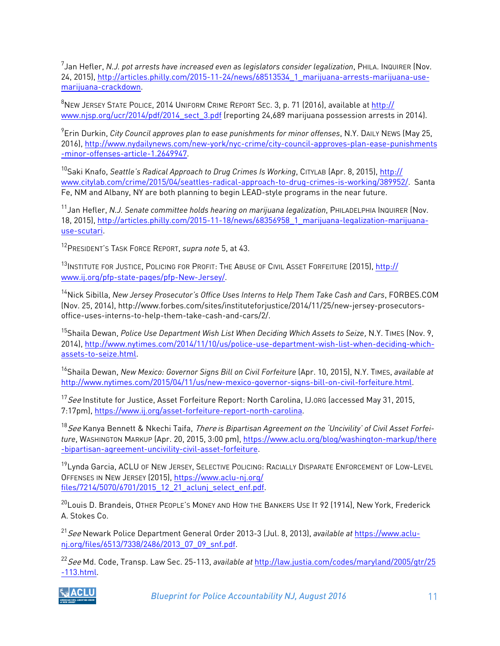7 Jan Hefler, *N.J. pot arrests have increased even as legislators consider legalization*, PHILA. INQUIRER (Nov. 24, 2015), http://articles.philly.com/2015-11-24/news/68513534\_1\_marijuana-arrests-marijuana-usemarijuana-crackdown.

<sup>8</sup>NEW JERSEY STATE POLICE, 2014 UNIFORM CRIME REPORT SEC. 3, p. 71 (2016), available at <u>http://</u> www.njsp.org/ucr/2014/pdf/2014\_sect\_3.pdf (reporting 24,689 marijuana possession arrests in 2014).

9 Erin Durkin, *City Council approves plan to ease punishments for minor offenses*, N.Y. DAILY NEWS (May 25, 2016), http://www.nydailynews.com/new-york/nyc-crime/city-council-approves-plan-ease-punishments -minor-offenses-article-1.2649947.

10Saki Knafo, *Seattle's Radical Approach to Drug Crimes Is Working*, CITYLAB (Apr. 8, 2015), http:// www.citylab.com/crime/2015/04/seattles-radical-approach-to-drug-crimes-is-working/389952/. Santa Fe, NM and Albany, NY are both planning to begin LEAD-style programs in the near future.

11Jan Hefler, *N.J. Senate committee holds hearing on marijuana legalization*, PHILADELPHIA INQUIRER (Nov. 18, 2015), http://articles.philly.com/2015-11-18/news/68356958\_1\_marijuana-legalization-marijuanause-scutari.

12PRESIDENT'S TASK FORCE REPORT, *supra note* 5, at 43.

<sup>13</sup>INSTITUTE FOR JUSTICE, POLICING FOR PROFIT: THE ABUSE OF CIVIL ASSET FORFEITURE (2015), http:// www.ij.org/pfp-state-pages/pfp-New-Jersey/.

14Nick Sibilla, *New Jersey Prosecutor's Office Uses Interns to Help Them Take Cash and Cars*, FORBES.COM (Nov. 25, 2014), http://www.forbes.com/sites/instituteforjustice/2014/11/25/new-jersey-prosecutorsoffice-uses-interns-to-help-them-take-cash-and-cars/2/.

15Shaila Dewan, *Police Use Department Wish List When Deciding Which Assets to Seize*, N.Y. TIMES (Nov. 9, 2014), http://www.nytimes.com/2014/11/10/us/police-use-department-wish-list-when-deciding-whichassets-to-seize.html.

16Shaila Dewan, *New Mexico: Governor Signs Bill on Civil Forfeiture* (Apr. 10, 2015), N.Y. TIMES, *available at*  http://www.nytimes.com/2015/04/11/us/new-mexico-governor-signs-bill-on-civil-forfeiture.html.

<sup>17</sup> See Institute for Justice, Asset Forfeiture Report: North Carolina, IJ.ORG (accessed May 31, 2015, 7:17pm), https://www.ij.org/asset-forfeiture-report-north-carolina.

<sup>18</sup>See Kanya Bennett & Nkechi Taifa, There *is Bipartisan Agreement on the 'Uncivility' of Civil Asset Forfeiture*, WASHINGTON MARKUP (Apr. 20, 2015, 3:00 pm), https://www.aclu.org/blog/washington-markup/there -bipartisan-agreement-uncivility-civil-asset-forfeiture.

<sup>19</sup>Lynda Garcia, ACLU OF NEW JERSEY, SELECTIVE POLICING: RACIALLY DISPARATE ENFORCEMENT OF LOW-LEVEL OFFENSES IN NEW JERSEY (2015), https://www.aclu-nj.org/ files/7214/5070/6701/2015\_12\_21\_aclunj\_select\_enf.pdf.

<sup>20</sup>Louis D. Brandeis, OTHER PEOPLE'S MONEY AND HOW THE BANKERS USE IT 92 (1914), New York, Frederick A. Stokes Co.

<sup>21</sup>See Newark Police Department General Order 2013-3 (Jul. 8, 2013), *available at* https://www.aclunj.org/files/6513/7338/2486/2013\_07\_09\_snf.pdf.

<sup>22</sup>See Md. Code, Transp. Law Sec. 25-113, *available at* http://law.justia.com/codes/maryland/2005/gtr/25 -113.html.



*Blueprint for Police Accountability NJ, August 2016* 11